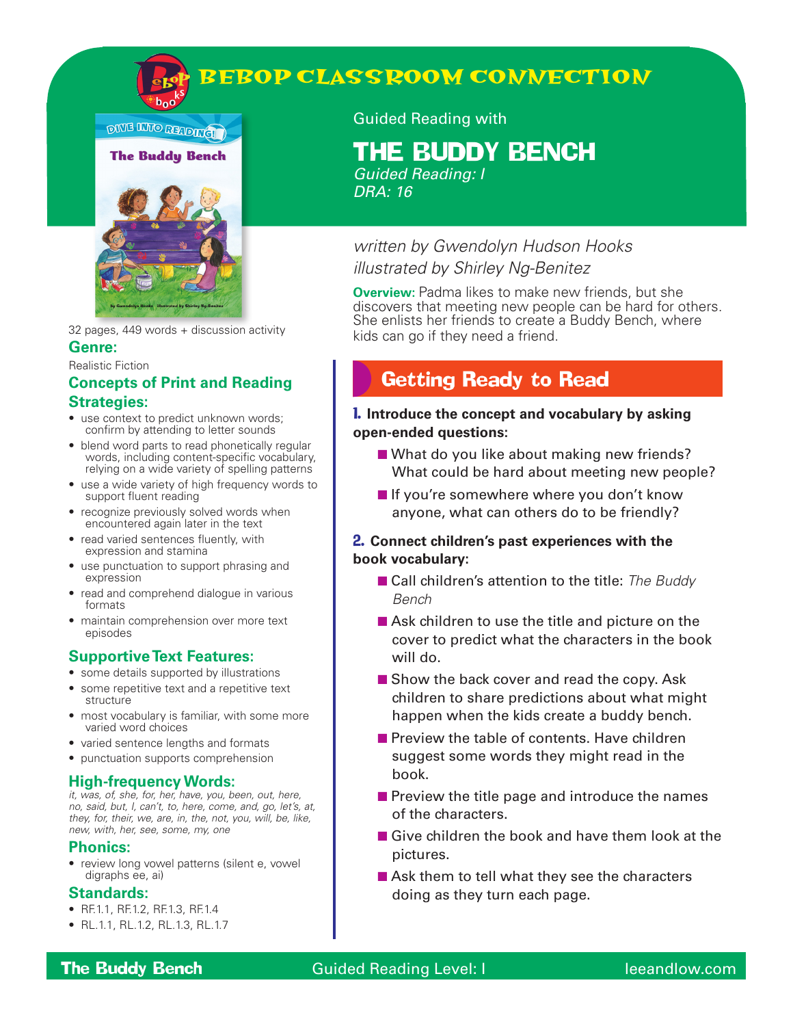

**DIVE INTO READING** 



32 pages, 449 words + discussion activity **Genre:** 

#### Realistic Fiction

#### **Concepts of Print and Reading Strategies:**

- use context to predict unknown words; confirm by attending to letter sounds
- blend word parts to read phonetically regular words, including content-specific vocabulary, relying on a wide variety of spelling patterns
- use a wide variety of high frequency words to support fluent reading
- recognize previously solved words when encountered again later in the text
- read varied sentences fluently, with expression and stamina
- use punctuation to support phrasing and expression
- read and comprehend dialogue in various formats
- maintain comprehension over more text episodes

#### **Supportive Text Features:**

- some details supported by illustrations
- some repetitive text and a repetitive text structure
- most vocabulary is familiar, with some more varied word choices
- varied sentence lengths and formats
- punctuation supports comprehension

#### **High-frequency Words:**

*it, was, of, she, for, her, have, you, been, out, here, no, said, but, I, can't, to, here, come, and, go, let's, at, they, for, their, we, are, in, the, not, you, will, be, like, new, with, her, see, some, my, one*

#### **Phonics:**

• review long vowel patterns (silent e, vowel digraphs ee, ai)

#### **Standards:**

- RF.1.1, RF.1.2, RF.1.3, RF.1.4
- RL.1.1, RL.1.2, RL.1.3, RL.1.7

#### Guided Reading with

# THE BUDDY BENCH

*Guided Reading: I DRA: 16*

### *written by Gwendolyn Hudson Hooks illustrated by Shirley Ng-Benitez*

**Overview:** Padma likes to make new friends, but she discovers that meeting new people can be hard for others. She enlists her friends to create a Buddy Bench, where kids can go if they need a friend.

# Getting Ready to Read

#### 1. **Introduce the concept and vocabulary by asking open-ended questions:**

- What do you like about making new friends? What could be hard about meeting new people?
- If you're somewhere where you don't know anyone, what can others do to be friendly?

#### 2. **Connect children's past experiences with the book vocabulary:**

- Call children's attention to the title: *The Buddy Bench*
- Ask children to use the title and picture on the cover to predict what the characters in the book will do.
- Show the back cover and read the copy. Ask children to share predictions about what might happen when the kids create a buddy bench.
- Preview the table of contents. Have children suggest some words they might read in the book.
- Preview the title page and introduce the names of the characters.
- Give children the book and have them look at the pictures.
- Ask them to tell what they see the characters doing as they turn each page.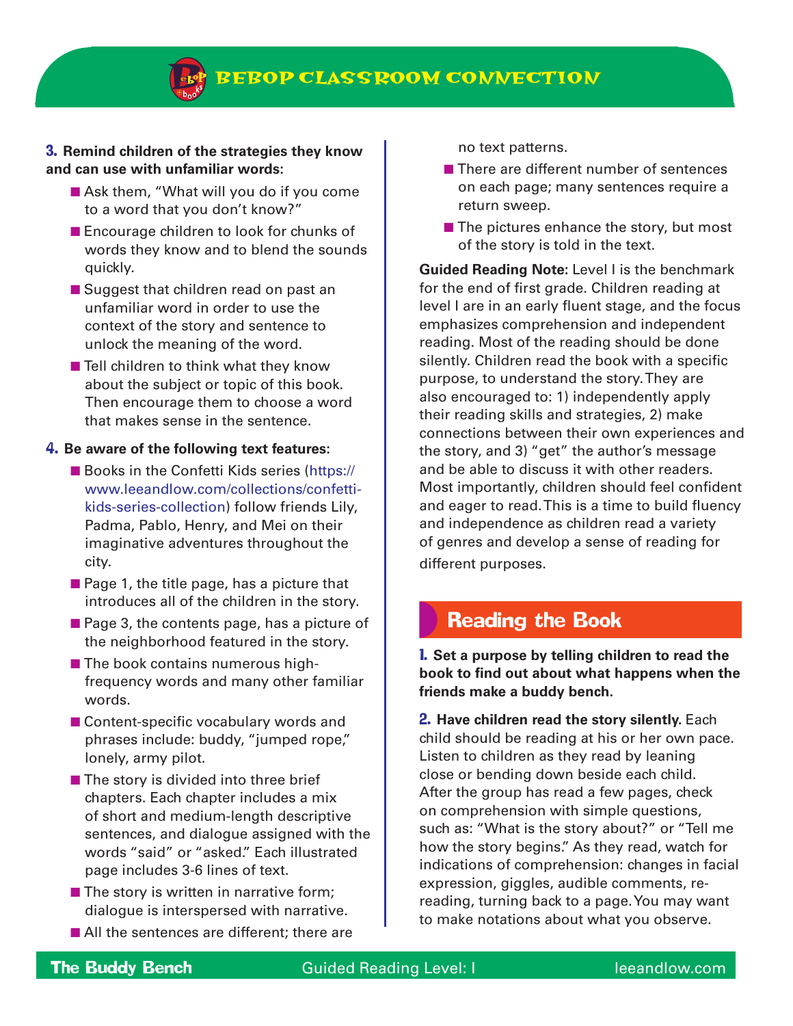#### 3. **Remind children of the strategies they know and can use with unfamiliar words:**

- Ask them, "What will you do if you come to a word that you don't know?"
- Encourage children to look for chunks of words they know and to blend the sounds quickly.
- Suggest that children read on past an unfamiliar word in order to use the context of the story and sentence to unlock the meaning of the word.
- Tell children to think what they know about the subject or topic of this book. Then encourage them to choose a word that makes sense in the sentence.

#### 4. **Be aware of the following text features:**

- Books in the Confetti Kids series (https:// www.leeandlow.com/collections/confettikids-series-collection) follow friends Lily, Padma, Pablo, Henry, and Mei on their imaginative adventures throughout the city.
- Page 1, the title page, has a picture that introduces all of the children in the story.
- Page 3, the contents page, has a picture of the neighborhood featured in the story.
- The book contains numerous highfrequency words and many other familiar words.
- Content-specific vocabulary words and phrases include: buddy, "jumped rope," lonely, army pilot.
- The story is divided into three brief chapters. Each chapter includes a mix of short and medium-length descriptive sentences, and dialogue assigned with the words "said" or "asked." Each illustrated page includes 3-6 lines of text.
- The story is written in narrative form; dialogue is interspersed with narrative.
- All the sentences are different; there are

no text patterns.

- There are different number of sentences on each page; many sentences require a return sweep.
- The pictures enhance the story, but most of the story is told in the text.

**Guided Reading Note:** Level I is the benchmark for the end of first grade. Children reading at level I are in an early fluent stage, and the focus emphasizes comprehension and independent reading. Most of the reading should be done silently. Children read the book with a specific purpose, to understand the story. They are also encouraged to: 1) independently apply their reading skills and strategies, 2) make connections between their own experiences and the story, and 3) "get" the author's message and be able to discuss it with other readers. Most importantly, children should feel confident and eager to read. This is a time to build fluency and independence as children read a variety of genres and develop a sense of reading for different purposes.

### Reading the Book

1. **Set a purpose by telling children to read the book to find out about what happens when the friends make a buddy bench.**

2. **Have children read the story silently.** Each child should be reading at his or her own pace. Listen to children as they read by leaning close or bending down beside each child. After the group has read a few pages, check on comprehension with simple questions, such as: "What is the story about?" or "Tell me how the story begins." As they read, watch for indications of comprehension: changes in facial expression, giggles, audible comments, rereading, turning back to a page. You may want to make notations about what you observe.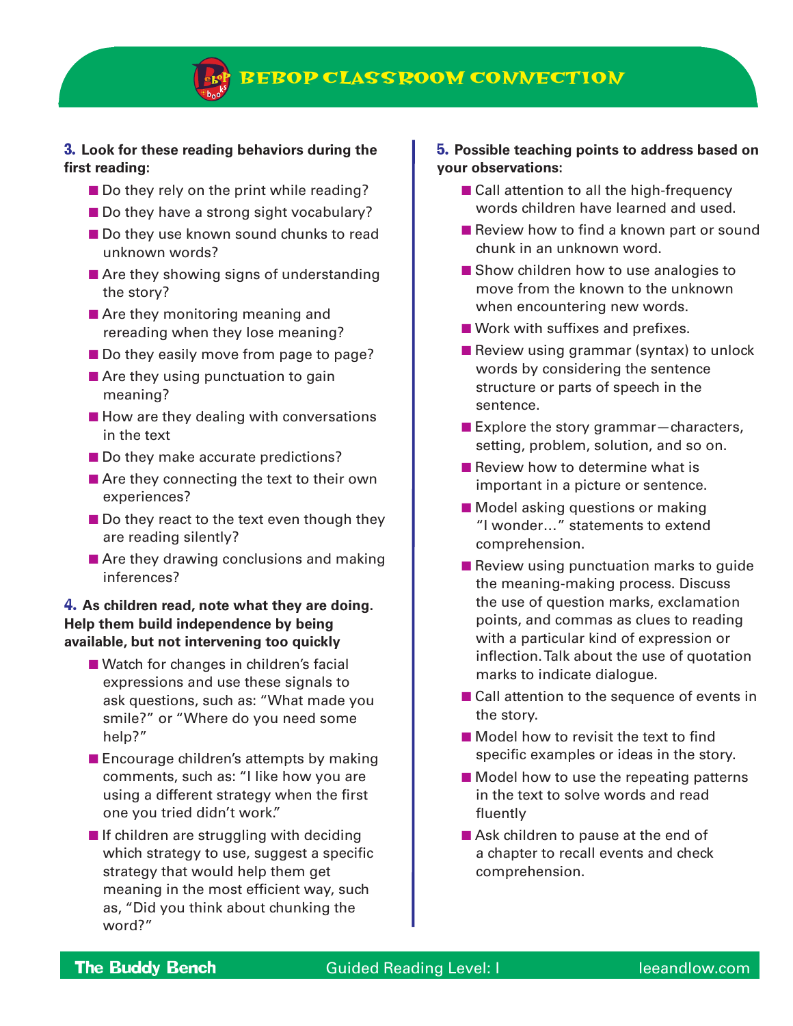#### 3. **Look for these reading behaviors during the first reading:**

- Do they rely on the print while reading?
- Do they have a strong sight vocabulary?
- Do they use known sound chunks to read unknown words?
- Are they showing signs of understanding the story?
- Are they monitoring meaning and rereading when they lose meaning?
- Do they easily move from page to page?
- Are they using punctuation to gain meaning?
- How are they dealing with conversations in the text
- Do they make accurate predictions?
- Are they connecting the text to their own experiences?
- Do they react to the text even though they are reading silently?
- Are they drawing conclusions and making inferences?

#### 4. **As children read, note what they are doing. Help them build independence by being available, but not intervening too quickly**

- Watch for changes in children's facial expressions and use these signals to ask questions, such as: "What made you smile?" or "Where do you need some help?"
- Encourage children's attempts by making comments, such as: "I like how you are using a different strategy when the first one you tried didn't work."
- If children are struggling with deciding which strategy to use, suggest a specific strategy that would help them get meaning in the most efficient way, such as, "Did you think about chunking the word?"

#### 5. **Possible teaching points to address based on your observations:**

- Call attention to all the high-frequency words children have learned and used.
- Review how to find a known part or sound chunk in an unknown word.
- Show children how to use analogies to move from the known to the unknown when encountering new words.
- Work with suffixes and prefixes.
- Review using grammar (syntax) to unlock words by considering the sentence structure or parts of speech in the sentence.
- Explore the story grammar–characters, setting, problem, solution, and so on.
- Review how to determine what is important in a picture or sentence.
- Model asking questions or making "I wonder…" statements to extend comprehension.
- Review using punctuation marks to quide the meaning-making process. Discuss the use of question marks, exclamation points, and commas as clues to reading with a particular kind of expression or inflection. Talk about the use of quotation marks to indicate dialogue.
- Call attention to the sequence of events in the story.
- Model how to revisit the text to find specific examples or ideas in the story.
- Model how to use the repeating patterns in the text to solve words and read fluently
- Ask children to pause at the end of a chapter to recall events and check comprehension.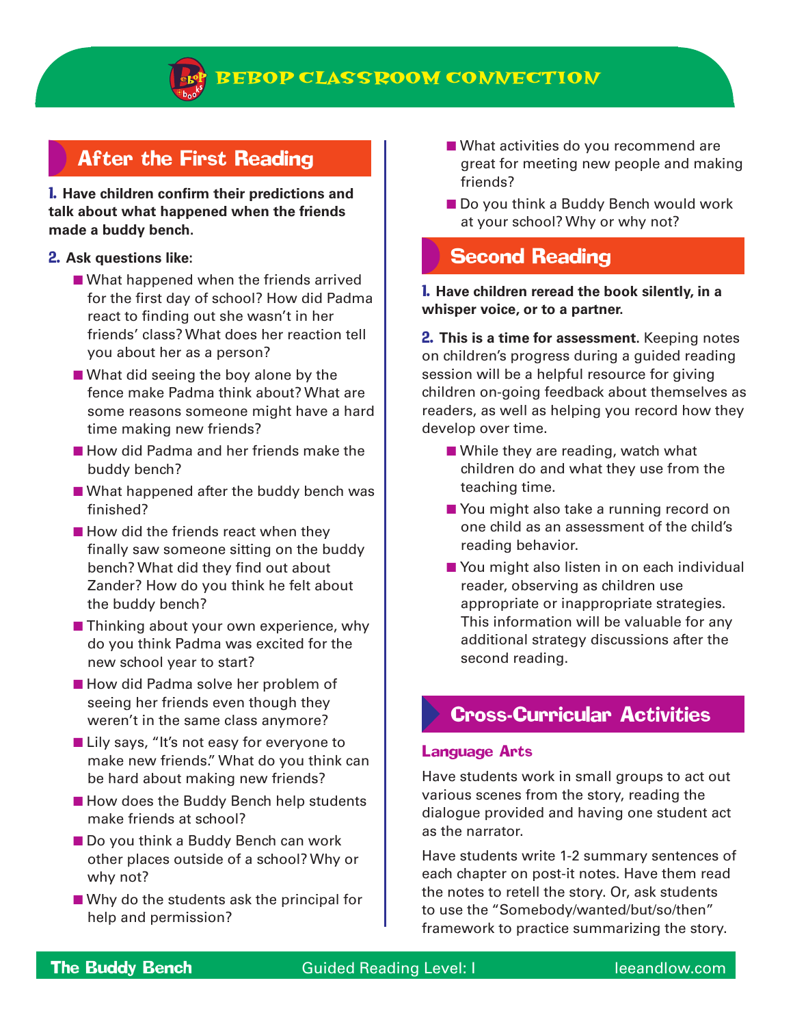

# After the First Reading

1. **Have children confirm their predictions and talk about what happened when the friends made a buddy bench.**

#### 2. **Ask questions like:**

- What happened when the friends arrived for the first day of school? How did Padma react to finding out she wasn't in her friends' class? What does her reaction tell you about her as a person?
- What did seeing the boy alone by the fence make Padma think about? What are some reasons someone might have a hard time making new friends?
- How did Padma and her friends make the buddy bench?
- What happened after the buddy bench was finished?
- How did the friends react when they finally saw someone sitting on the buddy bench? What did they find out about Zander? How do you think he felt about the buddy bench?
- Thinking about your own experience, why do you think Padma was excited for the new school year to start?
- How did Padma solve her problem of seeing her friends even though they weren't in the same class anymore?
- Lily says, "It's not easy for everyone to make new friends." What do you think can be hard about making new friends?
- How does the Buddy Bench help students make friends at school?
- Do you think a Buddy Bench can work other places outside of a school? Why or why not?
- Why do the students ask the principal for help and permission?
- What activities do you recommend are great for meeting new people and making friends?
- Do you think a Buddy Bench would work at your school? Why or why not?

# Second Reading

#### 1. **Have children reread the book silently, in a whisper voice, or to a partner.**

2. **This is a time for assessment.** Keeping notes on children's progress during a guided reading session will be a helpful resource for giving children on-going feedback about themselves as readers, as well as helping you record how they develop over time.

- While they are reading, watch what children do and what they use from the teaching time.
- You might also take a running record on one child as an assessment of the child's reading behavior.
- You might also listen in on each individual reader, observing as children use appropriate or inappropriate strategies. This information will be valuable for any additional strategy discussions after the second reading.

### Cross-Curricular Activities

#### Language Arts

Have students work in small groups to act out various scenes from the story, reading the dialogue provided and having one student act as the narrator.

Have students write 1-2 summary sentences of each chapter on post-it notes. Have them read the notes to retell the story. Or, ask students to use the "Somebody/wanted/but/so/then" framework to practice summarizing the story.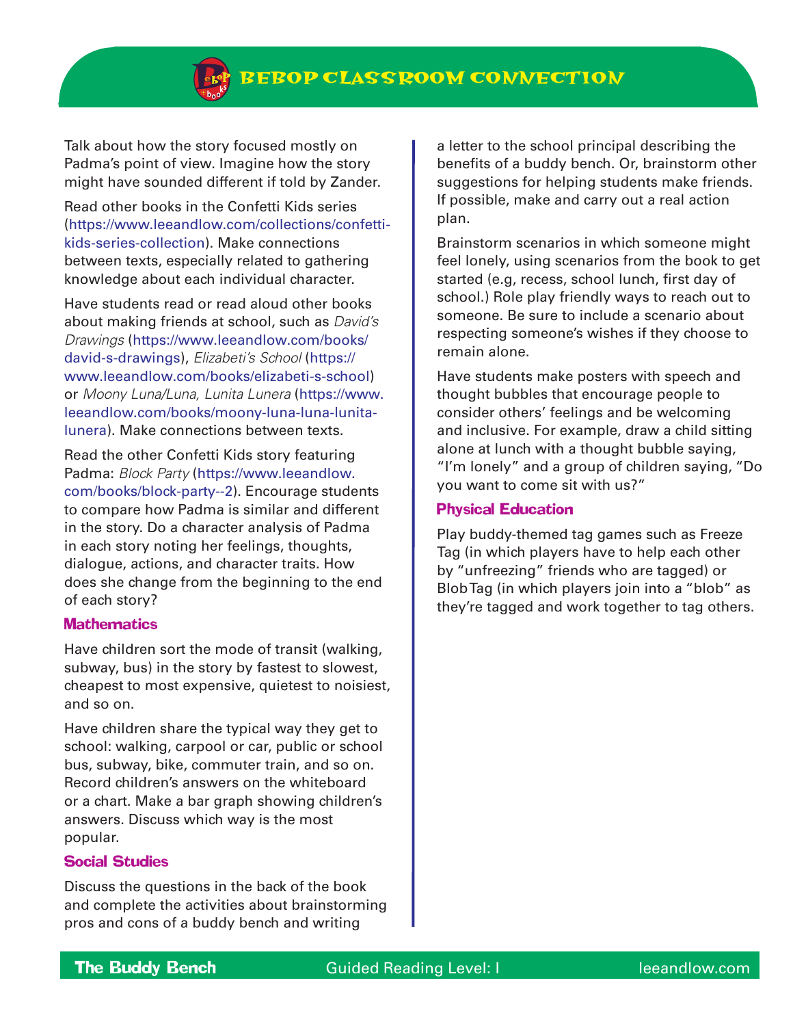Talk about how the story focused mostly on Padma's point of view. Imagine how the story might have sounded different if told by Zander.

Read other books in the Confetti Kids series (https://www.leeandlow.com/collections/confettikids-series-collection). Make connections between texts, especially related to gathering knowledge about each individual character.

Have students read or read aloud other books about making friends at school, such as *David's Drawings* (https://www.leeandlow.com/books/ david-s-drawings), *Elizabeti's School* (https:// www.leeandlow.com/books/elizabeti-s-school) or *Moony Luna/Luna, Lunita Lunera* (https://www. leeandlow.com/books/moony-luna-luna-lunitalunera). Make connections between texts.

Read the other Confetti Kids story featuring Padma: *Block Party* (https://www.leeandlow. com/books/block-party--2). Encourage students to compare how Padma is similar and different in the story. Do a character analysis of Padma in each story noting her feelings, thoughts, dialogue, actions, and character traits. How does she change from the beginning to the end of each story?

#### **Mathematics**

Have children sort the mode of transit (walking, subway, bus) in the story by fastest to slowest, cheapest to most expensive, quietest to noisiest, and so on.

Have children share the typical way they get to school: walking, carpool or car, public or school bus, subway, bike, commuter train, and so on. Record children's answers on the whiteboard or a chart. Make a bar graph showing children's answers. Discuss which way is the most popular.

#### Social Studies

Discuss the questions in the back of the book and complete the activities about brainstorming pros and cons of a buddy bench and writing

a letter to the school principal describing the benefits of a buddy bench. Or, brainstorm other suggestions for helping students make friends. If possible, make and carry out a real action plan.

Brainstorm scenarios in which someone might feel lonely, using scenarios from the book to get started (e.g, recess, school lunch, first day of school.) Role play friendly ways to reach out to someone. Be sure to include a scenario about respecting someone's wishes if they choose to remain alone.

Have students make posters with speech and thought bubbles that encourage people to consider others' feelings and be welcoming and inclusive. For example, draw a child sitting alone at lunch with a thought bubble saying, "I'm lonely" and a group of children saying, "Do you want to come sit with us?"

#### Physical Education

Play buddy-themed tag games such as Freeze Tag (in which players have to help each other by "unfreezing" friends who are tagged) or Blob Tag (in which players join into a "blob" as they're tagged and work together to tag others.